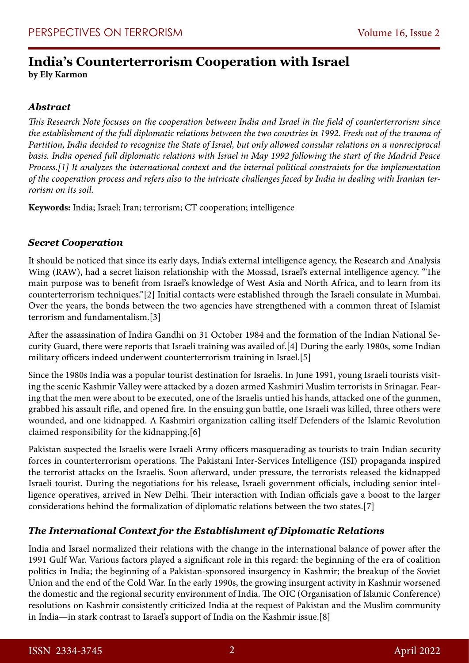# **India's Counterterrorism Cooperation with Israel**

**by Ely Karmon**

# *Abstract*

*This Research Note focuses on the cooperation between India and Israel in the field of counterterrorism since*  the establishment of the full diplomatic relations between the two countries in 1992. Fresh out of the trauma of *Partition, India decided to recognize the State of Israel, but only allowed consular relations on a nonreciprocal basis. India opened full diplomatic relations with Israel in May 1992 following the start of the Madrid Peace Process.[1] It analyzes the international context and the internal political constraints for the implementation of the cooperation process and refers also to the intricate challenges faced by India in dealing with Iranian terrorism on its soil.*

**Keywords:** India; Israel; Iran; terrorism; CT cooperation; intelligence

#### *Secret Cooperation*

It should be noticed that since its early days, India's external intelligence agency, the Research and Analysis Wing (RAW), had a secret liaison relationship with the Mossad, Israel's external intelligence agency. "The main purpose was to benefit from Israel's knowledge of West Asia and North Africa, and to learn from its counterterrorism techniques."[2] Initial contacts were established through the Israeli consulate in Mumbai. Over the years, the bonds between the two agencies have strengthened with a common threat of Islamist terrorism and fundamentalism.[3]

After the assassination of Indira Gandhi on 31 October 1984 and the formation of the Indian National Security Guard, there were reports that Israeli training was availed of.[4] During the early 1980s, some Indian military officers indeed underwent counterterrorism training in Israel.[5]

Since the 1980s India was a popular tourist destination for Israelis. In June 1991, young Israeli tourists visiting the scenic Kashmir Valley were attacked by a dozen armed Kashmiri Muslim terrorists in Srinagar. Fearing that the men were about to be executed, one of the Israelis untied his hands, attacked one of the gunmen, grabbed his assault rifle, and opened fire. In the ensuing gun battle, one Israeli was killed, three others were wounded, and one kidnapped. A Kashmiri organization calling itself Defenders of the Islamic Revolution claimed responsibility for the kidnapping.[6]

Pakistan suspected the Israelis were Israeli Army officers masquerading as tourists to train Indian security forces in counterterrorism operations. The Pakistani Inter-Services Intelligence (ISI) propaganda inspired the terrorist attacks on the Israelis. Soon afterward, under pressure, the terrorists released the kidnapped Israeli tourist. During the negotiations for his release, Israeli government officials, including senior intelligence operatives, arrived in New Delhi. Their interaction with Indian officials gave a boost to the larger considerations behind the formalization of diplomatic relations between the two states.[7]

# *The International Context for the Establishment of Diplomatic Relations*

India and Israel normalized their relations with the change in the international balance of power after the 1991 Gulf War. Various factors played a significant role in this regard: the beginning of the era of coalition politics in India; the beginning of a Pakistan-sponsored insurgency in Kashmir; the breakup of the Soviet Union and the end of the Cold War. In the early 1990s, the growing insurgent activity in Kashmir worsened the domestic and the regional security environment of India. The OIC (Organisation of Islamic Conference) resolutions on Kashmir consistently criticized India at the request of Pakistan and the Muslim community in India—in stark contrast to Israel's support of India on the Kashmir issue.[8]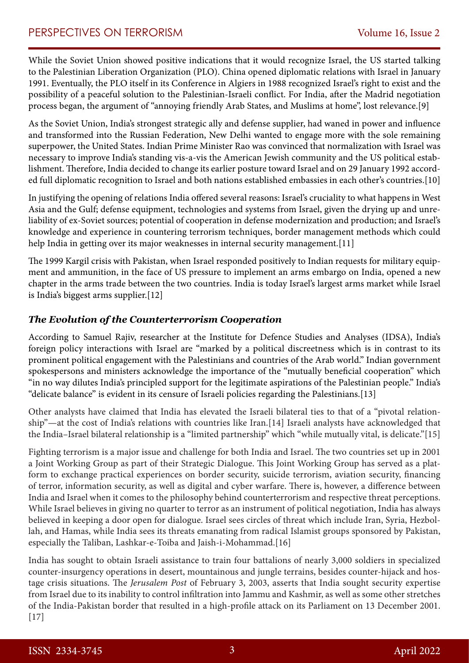While the Soviet Union showed positive indications that it would recognize Israel, the US started talking to the Palestinian Liberation Organization (PLO). China opened diplomatic relations with Israel in January 1991. Eventually, the PLO itself in its Conference in Algiers in 1988 recognized Israel's right to exist and the possibility of a peaceful solution to the Palestinian-Israeli conflict. For India, after the Madrid negotiation process began, the argument of "annoying friendly Arab States, and Muslims at home", lost relevance.[9]

As the Soviet Union, India's strongest strategic ally and defense supplier, had waned in power and influence and transformed into the Russian Federation, New Delhi wanted to engage more with the sole remaining superpower, the United States. Indian Prime Minister Rao was convinced that normalization with Israel was necessary to improve India's standing vis-a-vis the American Jewish community and the US political establishment. Therefore, India decided to change its earlier posture toward Israel and on 29 January 1992 accorded full diplomatic recognition to Israel and both nations established embassies in each other's countries.[10]

In justifying the opening of relations India offered several reasons: Israel's cruciality to what happens in West Asia and the Gulf; defense equipment, technologies and systems from Israel, given the drying up and unreliability of ex-Soviet sources; potential of cooperation in defense modernization and production; and Israel's knowledge and experience in countering terrorism techniques, border management methods which could help India in getting over its major weaknesses in internal security management.[11]

The 1999 Kargil crisis with Pakistan, when Israel responded positively to Indian requests for military equipment and ammunition, in the face of US pressure to implement an arms embargo on India, opened a new chapter in the arms trade between the two countries. India is today Israel's largest arms market while Israel is India's biggest arms supplier.[12]

#### *The Evolution of the Counterterrorism Cooperation*

According to Samuel Rajiv, researcher at the Institute for Defence Studies and Analyses (IDSA), India's foreign policy interactions with Israel are "marked by a political discreetness which is in contrast to its prominent political engagement with the Palestinians and countries of the Arab world." Indian government spokespersons and ministers acknowledge the importance of the "mutually beneficial cooperation" which "in no way dilutes India's principled support for the legitimate aspirations of the Palestinian people." India's "delicate balance" is evident in its censure of Israeli policies regarding the Palestinians.[13]

Other analysts have claimed that India has elevated the Israeli bilateral ties to that of a "pivotal relationship"—at the cost of India's relations with countries like Iran.[14] Israeli analysts have acknowledged that the India–Israel bilateral relationship is a "limited partnership" which "while mutually vital, is delicate."[15]

Fighting terrorism is a major issue and challenge for both India and Israel. The two countries set up in 2001 a Joint Working Group as part of their Strategic Dialogue. This Joint Working Group has served as a platform to exchange practical experiences on border security, suicide terrorism, aviation security, financing of terror, information security, as well as digital and cyber warfare. There is, however, a difference between India and Israel when it comes to the philosophy behind counterterrorism and respective threat perceptions. While Israel believes in giving no quarter to terror as an instrument of political negotiation, India has always believed in keeping a door open for dialogue. Israel sees circles of threat which include Iran, Syria, Hezbollah, and Hamas, while India sees its threats emanating from radical Islamist groups sponsored by Pakistan, especially the Taliban, Lashkar-e-Toiba and Jaish-i-Mohammad.[16]

India has sought to obtain Israeli assistance to train four battalions of nearly 3,000 soldiers in specialized counter-insurgency operations in desert, mountainous and jungle terrains, besides counter-hijack and hostage crisis situations. The *Jerusalem Post* of February 3, 2003, asserts that India sought security expertise from Israel due to its inability to control infiltration into Jammu and Kashmir, as well as some other stretches of the India-Pakistan border that resulted in a high-profile attack on its Parliament on 13 December 2001.  $[17]$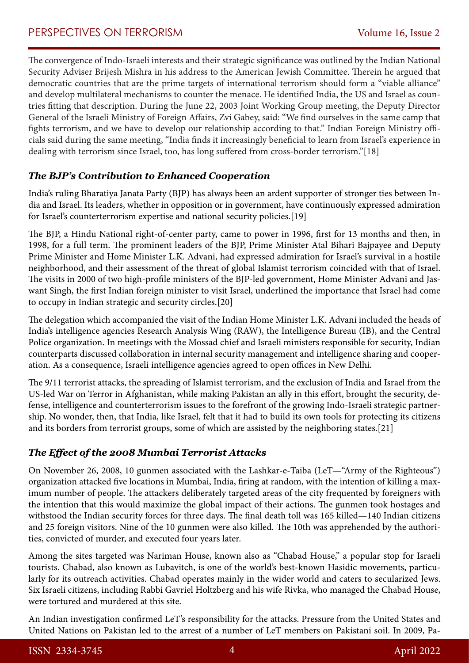The convergence of Indo-Israeli interests and their strategic significance was outlined by the Indian National Security Adviser Brijesh Mishra in his address to the American Jewish Committee. Therein he argued that democratic countries that are the prime targets of international terrorism should form a "viable alliance" and develop multilateral mechanisms to counter the menace. He identified India, the US and Israel as countries fitting that description. During the June 22, 2003 Joint Working Group meeting, the Deputy Director General of the Israeli Ministry of Foreign Affairs, Zvi Gabey, said: "We find ourselves in the same camp that fights terrorism, and we have to develop our relationship according to that." Indian Foreign Ministry officials said during the same meeting, "India finds it increasingly beneficial to learn from Israel's experience in dealing with terrorism since Israel, too, has long suffered from cross-border terrorism."[18]

# *The BJP's Contribution to Enhanced Cooperation*

India's ruling Bharatiya Janata Party (BJP) has always been an ardent supporter of stronger ties between India and Israel. Its leaders, whether in opposition or in government, have continuously expressed admiration for Israel's counterterrorism expertise and national security policies.[19]

The BJP, a Hindu National right-of-center party, came to power in 1996, first for 13 months and then, in 1998, for a full term. The prominent leaders of the BJP, Prime Minister Atal Bihari Bajpayee and Deputy Prime Minister and Home Minister L.K. Advani, had expressed admiration for Israel's survival in a hostile neighborhood, and their assessment of the threat of global Islamist terrorism coincided with that of Israel. The visits in 2000 of two high-profile ministers of the BJP-led government, Home Minister Advani and Jaswant Singh, the first Indian foreign minister to visit Israel, underlined the importance that Israel had come to occupy in Indian strategic and security circles.[20]

The delegation which accompanied the visit of the Indian Home Minister L.K. Advani included the heads of India's intelligence agencies Research Analysis Wing (RAW), the Intelligence Bureau (IB), and the Central Police organization. In meetings with the Mossad chief and Israeli ministers responsible for security, Indian counterparts discussed collaboration in internal security management and intelligence sharing and cooperation. As a consequence, Israeli intelligence agencies agreed to open offices in New Delhi.

The 9/11 terrorist attacks, the spreading of Islamist terrorism, and the exclusion of India and Israel from the US-led War on Terror in Afghanistan, while making Pakistan an ally in this effort, brought the security, defense, intelligence and counterterrorism issues to the forefront of the growing Indo-Israeli strategic partnership. No wonder, then, that India, like Israel, felt that it had to build its own tools for protecting its citizens and its borders from terrorist groups, some of which are assisted by the neighboring states.[21]

# *The Effect of the 2008 Mumbai Terrorist Attacks*

On November 26, 2008, 10 gunmen associated with the Lashkar-e-Taiba (LeT—"Army of the Righteous") organization attacked five locations in Mumbai, India, firing at random, with the intention of killing a maximum number of people. The attackers deliberately targeted areas of the city frequented by foreigners with the intention that this would maximize the global impact of their actions. The gunmen took hostages and withstood the Indian security forces for three days. The final death toll was 165 killed—140 Indian citizens and 25 foreign visitors. Nine of the 10 gunmen were also killed. The 10th was apprehended by the authorities, convicted of murder, and executed four years later.

Among the sites targeted was Nariman House, known also as "Chabad House," a popular stop for Israeli tourists. Chabad, also known as Lubavitch, is one of the world's best-known Hasidic movements, particularly for its outreach activities. Chabad operates mainly in the wider world and caters to secularized Jews. Six Israeli citizens, including Rabbi Gavriel Holtzberg and his wife Rivka, who managed the Chabad House, were tortured and murdered at this site.

An Indian investigation confirmed LeT's responsibility for the attacks. Pressure from the United States and United Nations on Pakistan led to the arrest of a number of LeT members on Pakistani soil. In 2009, Pa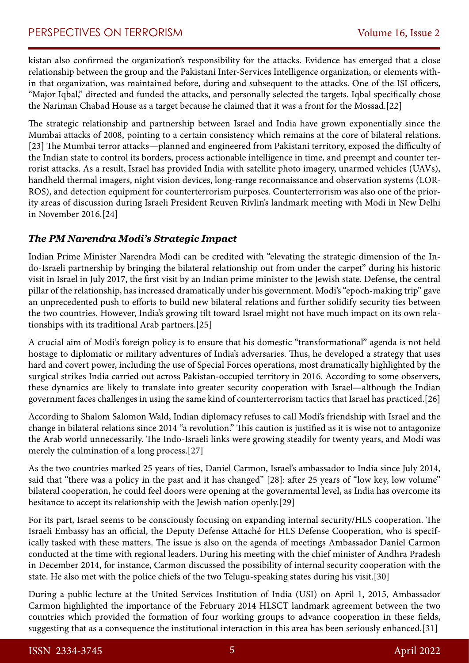kistan also confirmed the organization's responsibility for the attacks. Evidence has emerged that a close relationship between the group and the Pakistani Inter-Services Intelligence organization, or elements within that organization, was maintained before, during and subsequent to the attacks. One of the ISI officers, "Major Iqbal," directed and funded the attacks, and personally selected the targets. Iqbal specifically chose the Nariman Chabad House as a target because he claimed that it was a front for the Mossad.[22]

The strategic relationship and partnership between Israel and India have grown exponentially since the Mumbai attacks of 2008, pointing to a certain consistency which remains at the core of bilateral relations. [23] The Mumbai terror attacks—planned and engineered from Pakistani territory, exposed the difficulty of the Indian state to control its borders, process actionable intelligence in time, and preempt and counter terrorist attacks. As a result, Israel has provided India with satellite photo imagery, unarmed vehicles (UAVs), handheld thermal imagers, night vision devices, long-range reconnaissance and observation systems (LOR-ROS), and detection equipment for counterterrorism purposes. Counterterrorism was also one of the priority areas of discussion during Israeli President Reuven Rivlin's landmark meeting with Modi in New Delhi in November 2016.[24]

# *The PM Narendra Modi's Strategic Impact*

Indian Prime Minister Narendra Modi can be credited with "elevating the strategic dimension of the Indo-Israeli partnership by bringing the bilateral relationship out from under the carpet" during his historic visit in Israel in July 2017, the first visit by an Indian prime minister to the Jewish state. Defense, the central pillar of the relationship, has increased dramatically under his government. Modi's "epoch-making trip" gave an unprecedented push to efforts to build new bilateral relations and further solidify security ties between the two countries. However, India's growing tilt toward Israel might not have much impact on its own relationships with its traditional Arab partners.[25]

A crucial aim of Modi's foreign policy is to ensure that his domestic "transformational" agenda is not held hostage to diplomatic or military adventures of India's adversaries. Thus, he developed a strategy that uses hard and covert power, including the use of Special Forces operations, most dramatically highlighted by the surgical strikes India carried out across Pakistan-occupied territory in 2016. According to some observers, these dynamics are likely to translate into greater security cooperation with Israel—although the Indian government faces challenges in using the same kind of counterterrorism tactics that Israel has practiced.[26]

According to Shalom Salomon Wald, Indian diplomacy refuses to call Modi's friendship with Israel and the change in bilateral relations since 2014 "a revolution." This caution is justified as it is wise not to antagonize the Arab world unnecessarily. The Indo-Israeli links were growing steadily for twenty years, and Modi was merely the culmination of a long process.[27]

As the two countries marked 25 years of ties, Daniel Carmon, Israel's ambassador to India since July 2014, said that "there was a policy in the past and it has changed" [28]: after 25 years of "low key, low volume" bilateral cooperation, he could feel doors were opening at the governmental level, as India has overcome its hesitance to accept its relationship with the Jewish nation openly.[29]

For its part, Israel seems to be consciously focusing on expanding internal security/HLS cooperation. The Israeli Embassy has an official, the Deputy Defense Attaché for HLS Defense Cooperation, who is specifically tasked with these matters. The issue is also on the agenda of meetings Ambassador Daniel Carmon conducted at the time with regional leaders. During his meeting with the chief minister of Andhra Pradesh in December 2014, for instance, Carmon discussed the possibility of internal security cooperation with the state. He also met with the police chiefs of the two Telugu-speaking states during his visit.[30]

During a public lecture at the United Services Institution of India (USI) on April 1, 2015, Ambassador Carmon highlighted the importance of the February 2014 HLSCT landmark agreement between the two countries which provided the formation of four working groups to advance cooperation in these fields, suggesting that as a consequence the institutional interaction in this area has been seriously enhanced.[31]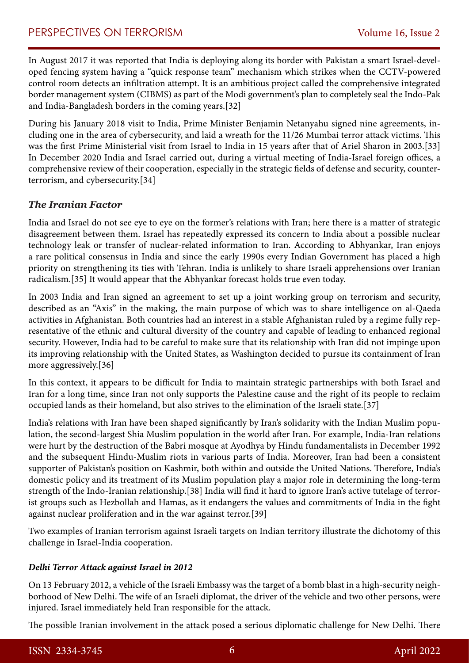In August 2017 it was reported that India is deploying along its border with Pakistan a smart Israel-developed fencing system having a "quick response team" mechanism which strikes when the CCTV-powered control room detects an infiltration attempt. It is an ambitious project called the comprehensive integrated border management system (CIBMS) as part of the Modi government's plan to completely seal the Indo-Pak and India-Bangladesh borders in the coming years.[32]

During his January 2018 visit to India, Prime Minister Benjamin Netanyahu signed nine agreements, including one in the area of cybersecurity, and laid a wreath for the 11/26 Mumbai terror attack victims. This was the first Prime Ministerial visit from Israel to India in 15 years after that of Ariel Sharon in 2003.[33] In December 2020 India and Israel carried out, during a virtual meeting of India-Israel foreign offices, a comprehensive review of their cooperation, especially in the strategic fields of defense and security, counterterrorism, and cybersecurity.[34]

# *The Iranian Factor*

India and Israel do not see eye to eye on the former's relations with Iran; here there is a matter of strategic disagreement between them. Israel has repeatedly expressed its concern to India about a possible nuclear technology leak or transfer of nuclear-related information to Iran. According to Abhyankar, Iran enjoys a rare political consensus in India and since the early 1990s every Indian Government has placed a high priority on strengthening its ties with Tehran. India is unlikely to share Israeli apprehensions over Iranian radicalism.[35] It would appear that the Abhyankar forecast holds true even today.

In 2003 India and Iran signed an agreement to set up a joint working group on terrorism and security, described as an "Axis" in the making, the main purpose of which was to share intelligence on al-Qaeda activities in Afghanistan. Both countries had an interest in a stable Afghanistan ruled by a regime fully representative of the ethnic and cultural diversity of the country and capable of leading to enhanced regional security. However, India had to be careful to make sure that its relationship with Iran did not impinge upon its improving relationship with the United States, as Washington decided to pursue its containment of Iran more aggressively.[36]

In this context, it appears to be difficult for India to maintain strategic partnerships with both Israel and Iran for a long time, since Iran not only supports the Palestine cause and the right of its people to reclaim occupied lands as their homeland, but also strives to the elimination of the Israeli state.[37]

India's relations with Iran have been shaped significantly by Iran's solidarity with the Indian Muslim population, the second-largest Shia Muslim population in the world after Iran. For example, India-Iran relations were hurt by the destruction of the Babri mosque at Ayodhya by Hindu fundamentalists in December 1992 and the subsequent Hindu-Muslim riots in various parts of India. Moreover, Iran had been a consistent supporter of Pakistan's position on Kashmir, both within and outside the United Nations. Therefore, India's domestic policy and its treatment of its Muslim population play a major role in determining the long-term strength of the Indo-Iranian relationship.[38] India will find it hard to ignore Iran's active tutelage of terrorist groups such as Hezbollah and Hamas, as it endangers the values and commitments of India in the fight against nuclear proliferation and in the war against terror.[39]

Two examples of Iranian terrorism against Israeli targets on Indian territory illustrate the dichotomy of this challenge in Israel-India cooperation.

#### *Delhi Terror Attack against Israel in 2012*

On 13 February 2012, a vehicle of the Israeli Embassy was the target of a bomb blast in a high-security neighborhood of New Delhi. The wife of an Israeli diplomat, the driver of the vehicle and two other persons, were injured. Israel immediately held Iran responsible for the attack.

The possible Iranian involvement in the attack posed a serious diplomatic challenge for New Delhi. There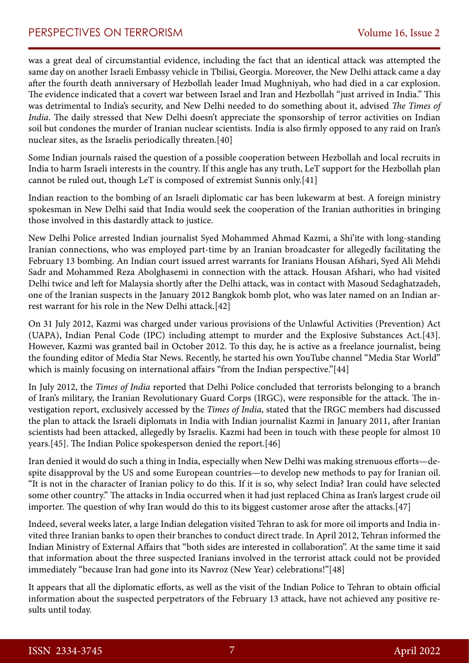was a great deal of circumstantial evidence, including the fact that an identical attack was attempted the same day on another Israeli Embassy vehicle in Tbilisi, Georgia. Moreover, the New Delhi attack came a day after the fourth death anniversary of Hezbollah leader Imad Mughniyah, who had died in a car explosion. The evidence indicated that a covert war between Israel and Iran and Hezbollah "just arrived in India." This was detrimental to India's security, and New Delhi needed to do something about it, advised *The Times of India*. The daily stressed that New Delhi doesn't appreciate the sponsorship of terror activities on Indian soil but condones the murder of Iranian nuclear scientists. India is also firmly opposed to any raid on Iran's nuclear sites, as the Israelis periodically threaten.[40]

Some Indian journals raised the question of a possible cooperation between Hezbollah and local recruits in India to harm Israeli interests in the country. If this angle has any truth, LeT support for the Hezbollah plan cannot be ruled out, though LeT is composed of extremist Sunnis only.[41]

Indian reaction to the bombing of an Israeli diplomatic car has been lukewarm at best. A foreign ministry spokesman in New Delhi said that India would seek the cooperation of the Iranian authorities in bringing those involved in this dastardly attack to justice.

New Delhi Police arrested Indian journalist Syed Mohammed Ahmad Kazmi, a Shi'ite with long-standing Iranian connections, who was employed part-time by an Iranian broadcaster for allegedly facilitating the February 13 bombing. An Indian court issued arrest warrants for Iranians Housan Afshari, Syed Ali Mehdi Sadr and Mohammed Reza Abolghasemi in connection with the attack. Housan Afshari, who had visited Delhi twice and left for Malaysia shortly after the Delhi attack, was in contact with Masoud Sedaghatzadeh, one of the Iranian suspects in the January 2012 Bangkok bomb plot, who was later named on an Indian arrest warrant for his role in the New Delhi attack.[42]

On 31 July 2012, Kazmi was charged under various provisions of the Unlawful Activities (Prevention) Act (UAPA), Indian Penal Code (IPC) including attempt to murder and the Explosive Substances Act.[43]. However, Kazmi was granted bail in October 2012. To this day, he is active as a freelance journalist, being the founding editor of Media Star News. Recently, he started his own YouTube channel "Media Star World" which is mainly focusing on international affairs "from the Indian perspective."[44]

In July 2012, the *Times of India* reported that Delhi Police concluded that terrorists belonging to a branch of Iran's military, the Iranian Revolutionary Guard Corps (IRGC), were responsible for the attack. The investigation report, exclusively accessed by the *Times of India*, stated that the IRGC members had discussed the plan to attack the Israeli diplomats in India with Indian journalist Kazmi in January 2011, after Iranian scientists had been attacked, allegedly by Israelis. Kazmi had been in touch with these people for almost 10 years.[45]. The Indian Police spokesperson denied the report.[46]

Iran denied it would do such a thing in India, especially when New Delhi was making strenuous efforts—despite disapproval by the US and some European countries—to develop new methods to pay for Iranian oil. "It is not in the character of Iranian policy to do this. If it is so, why select India? Iran could have selected some other country." The attacks in India occurred when it had just replaced China as Iran's largest crude oil importer. The question of why Iran would do this to its biggest customer arose after the attacks.[47]

Indeed, several weeks later, a large Indian delegation visited Tehran to ask for more oil imports and India invited three Iranian banks to open their branches to conduct direct trade. In April 2012, Tehran informed the Indian Ministry of External Affairs that "both sides are interested in collaboration''. At the same time it said that information about the three suspected Iranians involved in the terrorist attack could not be provided immediately "because Iran had gone into its Navroz (New Year) celebrations!"[48]

It appears that all the diplomatic efforts, as well as the visit of the Indian Police to Tehran to obtain official information about the suspected perpetrators of the February 13 attack, have not achieved any positive results until today.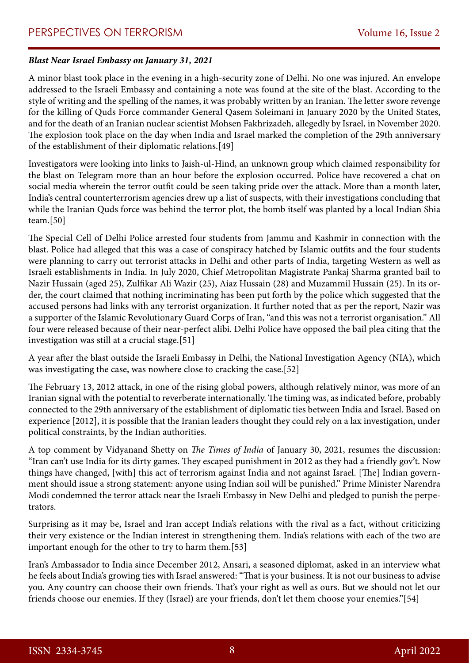#### *Blast Near Israel Embassy on January 31, 2021*

A minor blast took place in the evening in a high-security zone of Delhi. No one was injured. An envelope addressed to the Israeli Embassy and containing a note was found at the site of the blast. According to the style of writing and the spelling of the names, it was probably written by an Iranian. The letter swore revenge for the killing of Quds Force commander General Qasem Soleimani in January 2020 by the United States, and for the death of an Iranian nuclear scientist Mohsen Fakhrizadeh, allegedly by Israel, in November 2020. The explosion took place on the day when India and Israel marked the completion of the 29th anniversary of the establishment of their diplomatic relations.[49]

Investigators were looking into links to Jaish-ul-Hind, an unknown group which claimed responsibility for the blast on Telegram more than an hour before the explosion occurred. Police have recovered a chat on social media wherein the terror outfit could be seen taking pride over the attack. More than a month later, India's central counterterrorism agencies drew up a list of suspects, with their investigations concluding that while the Iranian Quds force was behind the terror plot, the bomb itself was planted by a local Indian Shia team.[50]

The Special Cell of Delhi Police arrested four students from Jammu and Kashmir in connection with the blast. Police had alleged that this was a case of conspiracy hatched by Islamic outfits and the four students were planning to carry out terrorist attacks in Delhi and other parts of India, targeting Western as well as Israeli establishments in India. In July 2020, Chief Metropolitan Magistrate Pankaj Sharma granted bail to Nazir Hussain (aged 25), Zulfikar Ali Wazir (25), Aiaz Hussain (28) and Muzammil Hussain (25). In its order, the court claimed that nothing incriminating has been put forth by the police which suggested that the accused persons had links with any terrorist organization. It further noted that as per the report, Nazir was a supporter of the Islamic Revolutionary Guard Corps of Iran, "and this was not a terrorist organisation." All four were released because of their near-perfect alibi. Delhi Police have opposed the bail plea citing that the investigation was still at a crucial stage.[51]

A year after the blast outside the Israeli Embassy in Delhi, the National Investigation Agency (NIA), which was investigating the case, was nowhere close to cracking the case.[52]

The February 13, 2012 attack, in one of the rising global powers, although relatively minor, was more of an Iranian signal with the potential to reverberate internationally. The timing was, as indicated before, probably connected to the 29th anniversary of the establishment of diplomatic ties between India and Israel. Based on experience [2012], it is possible that the Iranian leaders thought they could rely on a lax investigation, under political constraints, by the Indian authorities.

A top comment by Vidyanand Shetty on *The Times of India* of January 30, 2021, resumes the discussion: "Iran can't use India for its dirty games. They escaped punishment in 2012 as they had a friendly gov't. Now things have changed, [with] this act of terrorism against India and not against Israel. [The] Indian government should issue a strong statement: anyone using Indian soil will be punished." Prime Minister Narendra Modi condemned the terror attack near the Israeli Embassy in New Delhi and pledged to punish the perpetrators.

Surprising as it may be, Israel and Iran accept India's relations with the rival as a fact, without criticizing their very existence or the Indian interest in strengthening them. India's relations with each of the two are important enough for the other to try to harm them.[53]

Iran's Ambassador to India since December 2012, Ansari, a seasoned diplomat, asked in an interview what he feels about India's growing ties with Israel answered: "That is your business. It is not our business to advise you. Any country can choose their own friends. That's your right as well as ours. But we should not let our friends choose our enemies. If they (Israel) are your friends, don't let them choose your enemies."[54]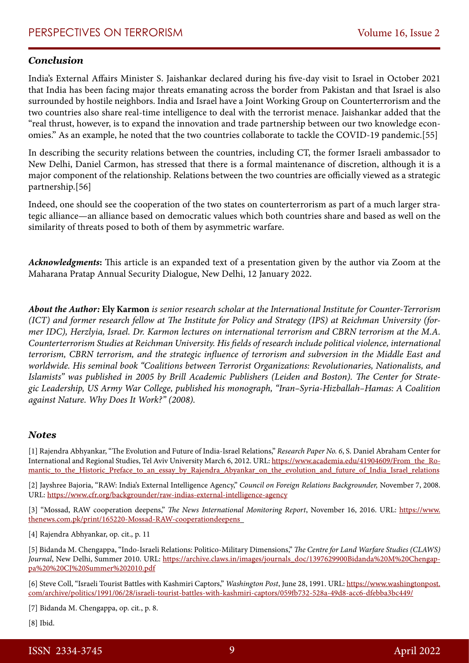#### *Conclusion*

India's External Affairs Minister S. Jaishankar declared during his five-day visit to Israel in October 2021 that India has been facing major threats emanating across the border from Pakistan and that Israel is also surrounded by hostile neighbors. India and Israel have a Joint Working Group on Counterterrorism and the two countries also share real-time intelligence to deal with the terrorist menace. Jaishankar added that the "real thrust, however, is to expand the innovation and trade partnership between our two knowledge economies." As an example, he noted that the two countries collaborate to tackle the COVID-19 pandemic.[55]

In describing the security relations between the countries, including CT, the former Israeli ambassador to New Delhi, Daniel Carmon, has stressed that there is a formal maintenance of discretion, although it is a major component of the relationship. Relations between the two countries are officially viewed as a strategic partnership.[56]

Indeed, one should see the cooperation of the two states on counterterrorism as part of a much larger strategic alliance—an alliance based on democratic values which both countries share and based as well on the similarity of threats posed to both of them by asymmetric warfare.

*Acknowledgments***:** This article is an expanded text of a presentation given by the author via Zoom at the Maharana Pratap Annual Security Dialogue, New Delhi, 12 January 2022.

*About the Author:* **Ely Karmon** *is senior research scholar at the International Institute for Counter-Terrorism (ICT) and former research fellow at The Institute for Policy and Strategy (IPS) at Reichman University (former IDC), Herzlyia, Israel. Dr. Karmon lectures on international terrorism and CBRN terrorism at the M.A. Counterterrorism Studies at Reichman University. His fields of research include political violence, international terrorism, CBRN terrorism, and the strategic influence of terrorism and subversion in the Middle East and worldwide. His seminal book "Coalitions between Terrorist Organizations: Revolutionaries, Nationalists, and Islamists" was published in 2005 by Brill Academic Publishers (Leiden and Boston). The Center for Strategic Leadership, US Army War College, published his monograph, "Iran–Syria-Hizballah–Hamas: A Coalition against Nature. Why Does It Work?" (2008).*

#### *Notes*

[1] Rajendra Abhyankar, "The Evolution and Future of India-Israel Relations," *Research Paper No. 6*, S. Daniel Abraham Center for International and Regional Studies, Tel Aviv University March 6, 2012. URL: [https://www.academia.edu/41904609/From\\_the\\_Ro](https://www.academia.edu/41904609/From_the_Romantic_to_the_Historic_Preface_to_an_essay_by_Rajendra_Abyankar_on_the_evolution_and_future_of_India_Israel_relations)[mantic\\_to\\_the\\_Historic\\_Preface\\_to\\_an\\_essay\\_by\\_Rajendra\\_Abyankar\\_on\\_the\\_evolution\\_and\\_future\\_of\\_India\\_Israel\\_relations](https://www.academia.edu/41904609/From_the_Romantic_to_the_Historic_Preface_to_an_essay_by_Rajendra_Abyankar_on_the_evolution_and_future_of_India_Israel_relations)

[2] Jayshree Bajoria, "RAW: India's External Intelligence Agency," *Council on Foreign Relations Backgrounder,* November 7, 2008. URL: https://www.cfr.org/backgrounder/raw-indias-external-intelligence-agency

[3] "Mossad, RAW cooperation deepens," *The News International Monitoring Report*, November 16, 2016. URL: [https://www.](https://www.thenews.com.pk/print/165220-Mossad-RAW-cooperationdeepens) [thenews.com.pk/print/165220-Mossad-RAW-cooperationdeepens](https://www.thenews.com.pk/print/165220-Mossad-RAW-cooperationdeepens) 

[4] Rajendra Abhyankar, op. cit., p. 11

[5] Bidanda M. Chengappa, "Indo-Israeli Relations: Politico-Military Dimensions," *The Centre for Land Warfare Studies (CLAWS) Journal*, New Delhi, Summer 2010. URL: [https://archive.claws.in/images/journals\\_doc/1397629900Bidanda%20M%20Chengap](https://archive.claws.in/images/journals_doc/1397629900Bidanda%20M%20Chengappa%20%20CJ%20Summer%202010.pdf)[pa%20%20CJ%20Summer%202010.pdf](https://archive.claws.in/images/journals_doc/1397629900Bidanda%20M%20Chengappa%20%20CJ%20Summer%202010.pdf)

[6] Steve Coll, "Israeli Tourist Battles with Kashmiri Captors," *Washington Post*, June 28, 1991. URL: [https://www.washingtonpost.](https://www.washingtonpost.com/archive/politics/1991/06/28/israeli-tourist-battles-with-kashmiri-captors/059fb732-528a-49d8-acc6-dfebba3bc449/) [com/archive/politics/1991/06/28/israeli-tourist-battles-with-kashmiri-captors/059fb732-528a-49d8-acc6-dfebba3bc449/](https://www.washingtonpost.com/archive/politics/1991/06/28/israeli-tourist-battles-with-kashmiri-captors/059fb732-528a-49d8-acc6-dfebba3bc449/)

[7] Bidanda M. Chengappa, op. cit*.*, p. 8.

[8] Ibid.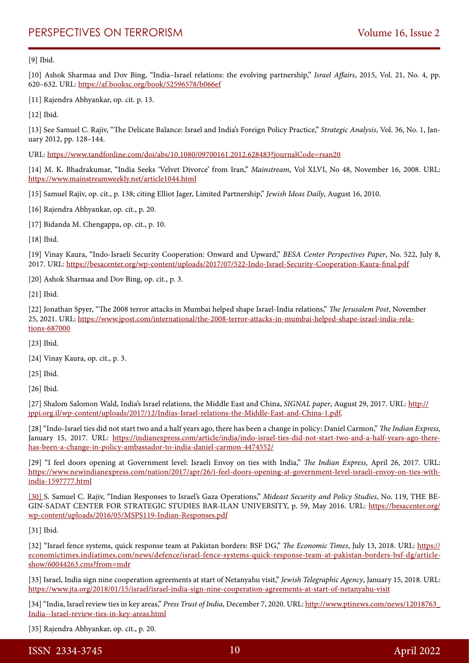[9] Ibid.

[10] Ashok Sharmaa and Dov Bing, "India–Israel relations: the evolving partnership," *Israel Affairs*, 2015, Vol. 21, No. 4, pp. 620–632. URL:<https://af.booksc.org/book/52596578/b066ef>

[11] Rajendra Abhyankar, op. cit. p. 13.

[12] Ibid.

[13] See Samuel C. Rajiv, "The Delicate Balance: Israel and India's Foreign Policy Practice," *Strategic Analysis*, Vol. 36, No. 1, January 2012, pp. 128–144.

URL:<https://www.tandfonline.com/doi/abs/10.1080/09700161.2012.628483?journalCode=rsan20>

[14] M. K. Bhadrakumar, "India Seeks 'Velvet Divorce' from Iran," *Mainstream*, Vol XLVI, No 48, November 16, 2008. URL: <https://www.mainstreamweekly.net/article1044.html>

[15] Samuel Rajiv, op. cit., p. 138; citing Elliot Jager, Limited Partnership," *Jewish Ideas Daily*, August 16, 2010.

[16] Rajendra Abhyankar, op. cit., p. 20.

[17] Bidanda M. Chengappa, op. cit., p. 10.

[18] Ibid.

[19] Vinay Kaura, "Indo-Israeli Security Cooperation: Onward and Upward," *BESA Center Perspectives Paper*, No. 522, July 8, 2017. URL:<https://besacenter.org/wp-content/uploads/2017/07/522-Indo-Israel-Security-Cooperation-Kaura-final.pdf>

[20] Ashok Sharmaa and Dov Bing, op. cit., p. 3.

[21] Ibid.

[22] Jonathan Spyer, "The 2008 terror attacks in Mumbai helped shape Israel-India relations," *The Jerusalem Post*, November 25, 2021. URL: [https://www.jpost.com/international/the-2008-terror-attacks-in-mumbai-helped-shape-israel-india-rela](https://www.jpost.com/international/the-2008-terror-attacks-in-mumbai-helped-shape-israel-india-relations-687000)[tions-687000](https://www.jpost.com/international/the-2008-terror-attacks-in-mumbai-helped-shape-israel-india-relations-687000)

[23] Ibid.

[24] Vinay Kaura, op. cit., p. 3.

[25] Ibid.

[26] Ibid.

[27] Shalom Salomon Wald, India's Israel relations, the Middle East and China, *SIGNAL paper*, August 29, 2017. URL: [http://](http://jppi.org.il/wp-content/uploads/2017/12/Indias-Israel-relations-the-Middle-East-and-China-1.pdf) [jppi.org.il/wp-content/uploads/2017/12/Indias-Israel-relations-the-Middle-East-and-China-1.pdf.](http://jppi.org.il/wp-content/uploads/2017/12/Indias-Israel-relations-the-Middle-East-and-China-1.pdf)

[28] "Indo-Israel ties did not start two and a half years ago, there has been a change in policy: Daniel Carmon," *The Indian Express,* January 15, 2017. URL: [https://indianexpress.com/article/india/indo-israel-ties-did-not-start-two-and-a-half-years-ago-there](https://indianexpress.com/article/india/indo-israel-ties-did-not-start-two-and-a-half-years-ago-there-has-been-a-change-in-policy-ambassador-to-india-daniel-carmon-4474552/)[has-been-a-change-in-policy-ambassador-to-india-daniel-carmon-4474552/](https://indianexpress.com/article/india/indo-israel-ties-did-not-start-two-and-a-half-years-ago-there-has-been-a-change-in-policy-ambassador-to-india-daniel-carmon-4474552/)

[29] "I feel doors opening at Government level: Israeli Envoy on ties with India," *The Indian Express,* April 26, 2017. URL: [https://www.newindianexpress.com/nation/2017/apr/26/i-feel-doors-opening-at-government-level-israeli-envoy-on-ties-with](https://www.newindianexpress.com/nation/2017/apr/26/i-feel-doors-opening-at-government-level-israeli-envoy-on-ties-with-india-1597777.html)[india-1597777.html](https://www.newindianexpress.com/nation/2017/apr/26/i-feel-doors-opening-at-government-level-israeli-envoy-on-ties-with-india-1597777.html)

[30] S. Samuel C. Rajiv, "Indian Responses to Israel's Gaza Operations," *Mideast Security and Policy Studies*, No. 119, THE BE-GIN-SADAT CENTER FOR STRATEGIC STUDIES BAR-ILAN UNIVERSITY, p. 59, May 2016. URL: https://besacenter.org/ wp-content/uploads/2016/05/MSPS119-Indian-Responses.pdf

[31] Ibid.

[32] "Israel fence systems, quick response team at Pakistan borders: BSF DG," *The Economic Times*, July 13, 2018. URL: [https://](https://economictimes.indiatimes.com/news/defence/israel-fence-systems-quick-response-team-at-pakistan-borders-bsf-dg/articleshow/60044263.cms?from=mdr) [economictimes.indiatimes.com/news/defence/israel-fence-systems-quick-response-team-at-pakistan-borders-bsf-dg/article](https://economictimes.indiatimes.com/news/defence/israel-fence-systems-quick-response-team-at-pakistan-borders-bsf-dg/articleshow/60044263.cms?from=mdr)[show/60044263.cms?from=mdr](https://economictimes.indiatimes.com/news/defence/israel-fence-systems-quick-response-team-at-pakistan-borders-bsf-dg/articleshow/60044263.cms?from=mdr)

[33] Israel, India sign nine cooperation agreements at start of Netanyahu visit," *Jewish Telegraphic Agency*, January 15, 2018. URL: <https://www.jta.org/2018/01/15/israel/israel-india-sign-nine-cooperation-agreements-at-start-of-netanyahu-visit>

[34] "India, Israel review ties in key areas," *Press Trust of India,* December 7, 2020. URL: [http://www.ptinews.com/news/12018763\\_](http://www.ptinews.com/news/12018763_India--Israel-review-ties-in-key-areas.html) [India--Israel-review-ties-in-key-areas.html](http://www.ptinews.com/news/12018763_India--Israel-review-ties-in-key-areas.html)

[35] Rajendra Abhyankar, op. cit., p. 20.

ISSN 2334-3745 10 April 2022